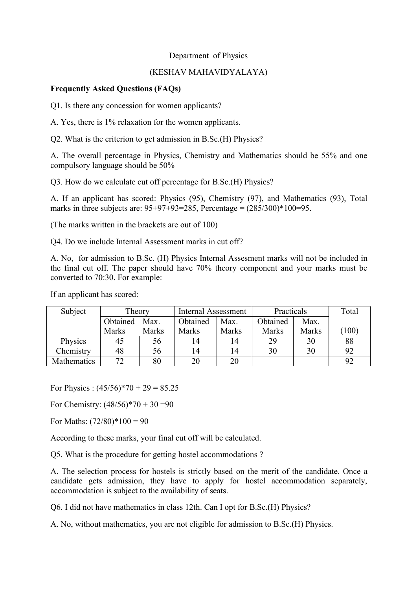## Department of Physics

## (KESHAV MAHAVIDYALAYA)

## **Frequently Asked Questions (FAQs)**

Q1. Is there any concession for women applicants?

A. Yes, there is 1% relaxation for the women applicants.

Q2. What is the criterion to get admission in B.Sc.(H) Physics?

A. The overall percentage in Physics, Chemistry and Mathematics should be 55% and one compulsory language should be 50%

Q3. How do we calculate cut off percentage for B.Sc.(H) Physics?

A. If an applicant has scored: Physics (95), Chemistry (97), and Mathematics (93), Total marks in three subjects are:  $95+97+93=285$ , Percentage =  $(285/300)*100=95$ .

(The marks written in the brackets are out of 100)

Q4. Do we include Internal Assessment marks in cut off?

A. No, for admission to B.Sc. (H) Physics Internal Assesment marks will not be included in the final cut off. The paper should have 70% theory component and your marks must be converted to 70:30. For example:

If an applicant has scored:

| Subject     | Theory       |       | Internal Assessment |       | Practicals   |              | Total |
|-------------|--------------|-------|---------------------|-------|--------------|--------------|-------|
|             | Obtained     | Max.  | Obtained            | Max.  | Obtained     | Max.         |       |
|             | <b>Marks</b> | Marks | Marks               | Marks | <b>Marks</b> | <b>Marks</b> | (100) |
| Physics     | 45           | 56    | 14                  | 14    | 29           | 30           | 88    |
| Chemistry   | 48           | 56    | 14                  | 14    | 30           | 30           | 92    |
| Mathematics | 72           | 80    | 20                  | 20    |              |              | 92    |

For Physics :  $(45/56)*70 + 29 = 85.25$ 

For Chemistry:  $(48/56)*70 + 30 = 90$ 

For Maths:  $(72/80)*100 = 90$ 

According to these marks, your final cut off will be calculated.

Q5. What is the procedure for getting hostel accommodations ?

A. The selection process for hostels is strictly based on the merit of the candidate. Once a candidate gets admission, they have to apply for hostel accommodation separately, accommodation is subject to the availability of seats.

Q6. I did not have mathematics in class 12th. Can I opt for B.Sc.(H) Physics?

A. No, without mathematics, you are not eligible for admission to B.Sc.(H) Physics.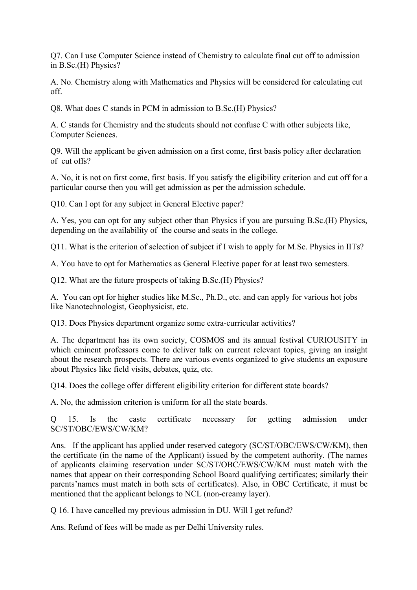Q7. Can I use Computer Science instead of Chemistry to calculate final cut off to admission in B.Sc.(H) Physics?

A. No. Chemistry along with Mathematics and Physics will be considered for calculating cut off.

Q8. What does C stands in PCM in admission to B.Sc.(H) Physics?

A. C stands for Chemistry and the students should not confuse C with other subjects like, Computer Sciences.

Q9. Will the applicant be given admission on a first come, first basis policy after declaration of cut offs?

A. No, it is not on first come, first basis. If you satisfy the eligibility criterion and cut off for a particular course then you will get admission as per the admission schedule.

Q10. Can I opt for any subject in General Elective paper?

A. Yes, you can opt for any subject other than Physics if you are pursuing B.Sc.(H) Physics, depending on the availability of the course and seats in the college.

Q11. What is the criterion of selection of subject if I wish to apply for M.Sc. Physics in IITs?

A. You have to opt for Mathematics as General Elective paper for at least two semesters.

Q12. What are the future prospects of taking B.Sc.(H) Physics?

A. You can opt for higher studies like M.Sc., Ph.D., etc. and can apply for various hot jobs like Nanotechnologist, Geophysicist, etc.

Q13. Does Physics department organize some extra-curricular activities?

A. The department has its own society, COSMOS and its annual festival CURIOUSITY in which eminent professors come to deliver talk on current relevant topics, giving an insight about the research prospects. There are various events organized to give students an exposure about Physics like field visits, debates, quiz, etc.

Q14. Does the college offer different eligibility criterion for different state boards?

A. No, the admission criterion is uniform for all the state boards.

Q 15. Is the caste certificate necessary for getting admission under SC/ST/OBC/EWS/CW/KM?

Ans. If the applicant has applied under reserved category (SC/ST/OBC/EWS/CW/KM), then the certificate (in the name of the Applicant) issued by the competent authority. (The names of applicants claiming reservation under SC/ST/OBC/EWS/CW/KM must match with the names that appear on their corresponding School Board qualifying certificates; similarly their parents'names must match in both sets of certificates). Also, in OBC Certificate, it must be mentioned that the applicant belongs to NCL (non-creamy layer).

Q 16. I have cancelled my previous admission in DU. Will I get refund?

Ans. Refund of fees will be made as per Delhi University rules.